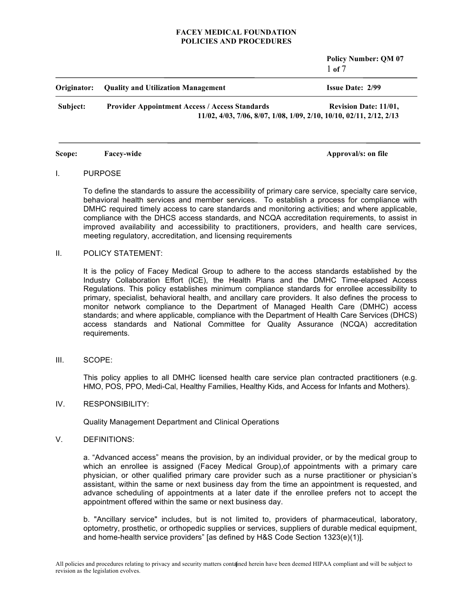**Policy Number: QM 07** 1 **of** 7 **Originator: Quality and Utilization Management Issue Date: 2/99 Subject: Provider Appointment Access / Access Standards Revision Date: 11/01, 11/02, 4/03, 7/06, 8/07, 1/08, 1/09, 2/10, 10/10, 02/11, 2/12, 2/13**

**Scope: Facey-wide Approval/s:** on file

# I. PURPOSE

To define the standards to assure the accessibility of primary care service, specialty care service, behavioral health services and member services. To establish a process for compliance with DMHC required timely access to care standards and monitoring activities; and where applicable, compliance with the DHCS access standards, and NCQA accreditation requirements, to assist in improved availability and accessibility to practitioners, providers, and health care services, meeting regulatory, accreditation, and licensing requirements

#### II. POLICY STATEMENT:

It is the policy of Facey Medical Group to adhere to the access standards established by the Industry Collaboration Effort (ICE), the Health Plans and the DMHC Time-elapsed Access Regulations. This policy establishes minimum compliance standards for enrollee accessibility to primary, specialist, behavioral health, and ancillary care providers. It also defines the process to monitor network compliance to the Department of Managed Health Care (DMHC) access standards; and where applicable, compliance with the Department of Health Care Services (DHCS) access standards and National Committee for Quality Assurance (NCQA) accreditation requirements.

III. SCOPE:

This policy applies to all DMHC licensed health care service plan contracted practitioners (e.g. HMO, POS, PPO, Medi-Cal, Healthy Families, Healthy Kids, and Access for Infants and Mothers).

IV. RESPONSIBILITY:

Quality Management Department and Clinical Operations

# V. DEFINITIONS:

a. "Advanced access" means the provision, by an individual provider, or by the medical group to which an enrollee is assigned (Facey Medical Group),of appointments with a primary care physician, or other qualified primary care provider such as a nurse practitioner or physician's assistant, within the same or next business day from the time an appointment is requested, and advance scheduling of appointments at a later date if the enrollee prefers not to accept the appointment offered within the same or next business day.

b. "Ancillary service" includes, but is not limited to, providers of pharmaceutical, laboratory, optometry, prosthetic, or orthopedic supplies or services, suppliers of durable medical equipment, and home-health service providers" [as defined by H&S Code Section 1323(e)(1)].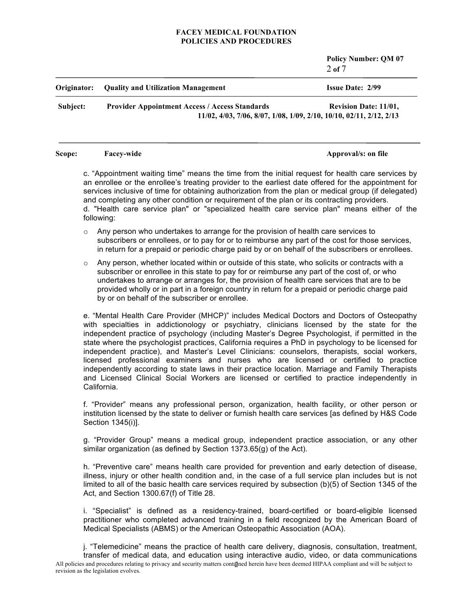**Policy Number: QM 07** 2 **of** 7

| Originator: | <b>Ouality and Utilization Management</b>                                                                                    | <b>Issue Date: 2/99</b>      |
|-------------|------------------------------------------------------------------------------------------------------------------------------|------------------------------|
| Subject:    | <b>Provider Appointment Access / Access Standards</b><br>11/02, 4/03, 7/06, 8/07, 1/08, 1/09, 2/10, 10/10, 02/11, 2/12, 2/13 | <b>Revision Date: 11/01.</b> |

#### **Scope: Facey-wide Approval/s:** on file

c. "Appointment waiting time" means the time from the initial request for health care services by an enrollee or the enrollee's treating provider to the earliest date offered for the appointment for services inclusive of time for obtaining authorization from the plan or medical group (if delegated) and completing any other condition or requirement of the plan or its contracting providers. d. "Health care service plan" or "specialized health care service plan" means either of the following:

- $\circ$  Any person who undertakes to arrange for the provision of health care services to subscribers or enrollees, or to pay for or to reimburse any part of the cost for those services, in return for a prepaid or periodic charge paid by or on behalf of the subscribers or enrollees.
- $\circ$  Any person, whether located within or outside of this state, who solicits or contracts with a subscriber or enrollee in this state to pay for or reimburse any part of the cost of, or who undertakes to arrange or arranges for, the provision of health care services that are to be provided wholly or in part in a foreign country in return for a prepaid or periodic charge paid by or on behalf of the subscriber or enrollee.

e. "Mental Health Care Provider (MHCP)" includes Medical Doctors and Doctors of Osteopathy with specialties in addictionology or psychiatry, clinicians licensed by the state for the independent practice of psychology (including Master's Degree Psychologist, if permitted in the state where the psychologist practices, California requires a PhD in psychology to be licensed for independent practice), and Master's Level Clinicians: counselors, therapists, social workers, licensed professional examiners and nurses who are licensed or certified to practice independently according to state laws in their practice location. Marriage and Family Therapists and Licensed Clinical Social Workers are licensed or certified to practice independently in California.

f. "Provider" means any professional person, organization, health facility, or other person or institution licensed by the state to deliver or furnish health care services [as defined by H&S Code Section 1345(i)].

g. "Provider Group" means a medical group, independent practice association, or any other similar organization (as defined by Section 1373.65(g) of the Act).

h. "Preventive care" means health care provided for prevention and early detection of disease, illness, injury or other health condition and, in the case of a full service plan includes but is not limited to all of the basic health care services required by subsection (b)(5) of Section 1345 of the Act, and Section 1300.67(f) of Title 28.

i. "Specialist" is defined as a residency-trained, board-certified or board-eligible licensed practitioner who completed advanced training in a field recognized by the American Board of Medical Specialists (ABMS) or the American Osteopathic Association (AOA).

All policies and procedures relating to privacy and security matters contained herein have been deemed HIPAA compliant and will be subject to revision as the legislation evolves. j. "Telemedicine" means the practice of health care delivery, diagnosis, consultation, treatment, transfer of medical data, and education using interactive audio, video, or data communications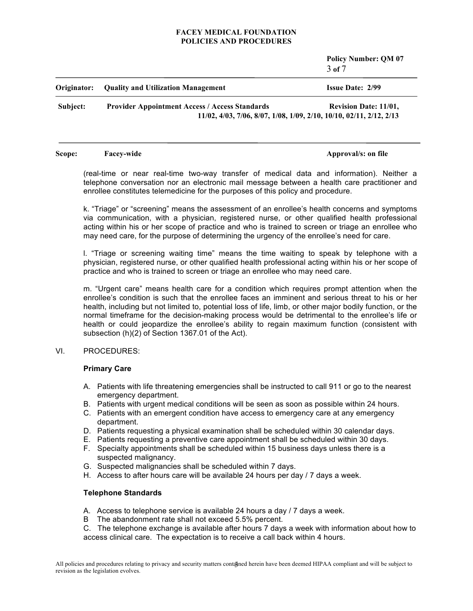**Policy Number: QM 07** 3 **of** 7

| Originator: | <b>Quality and Utilization Management</b>                                                                                    | <b>Issue Date: 2/99</b>      |
|-------------|------------------------------------------------------------------------------------------------------------------------------|------------------------------|
| Subject:    | <b>Provider Appointment Access / Access Standards</b><br>11/02, 4/03, 7/06, 8/07, 1/08, 1/09, 2/10, 10/10, 02/11, 2/12, 2/13 | <b>Revision Date: 11/01,</b> |

#### **Scope: Facey-wide Approval/s:** on file

(real-time or near real-time two-way transfer of medical data and information). Neither a telephone conversation nor an electronic mail message between a health care practitioner and enrollee constitutes telemedicine for the purposes of this policy and procedure.

k. "Triage" or "screening" means the assessment of an enrollee's health concerns and symptoms via communication, with a physician, registered nurse, or other qualified health professional acting within his or her scope of practice and who is trained to screen or triage an enrollee who may need care, for the purpose of determining the urgency of the enrollee's need for care.

l. "Triage or screening waiting time" means the time waiting to speak by telephone with a physician, registered nurse, or other qualified health professional acting within his or her scope of practice and who is trained to screen or triage an enrollee who may need care.

m. "Urgent care" means health care for a condition which requires prompt attention when the enrollee's condition is such that the enrollee faces an imminent and serious threat to his or her health, including but not limited to, potential loss of life, limb, or other major bodily function, or the normal timeframe for the decision-making process would be detrimental to the enrollee's life or health or could jeopardize the enrollee's ability to regain maximum function (consistent with subsection (h)(2) of Section 1367.01 of the Act).

# VI. PROCEDURES:

# **Primary Care**

- A. Patients with life threatening emergencies shall be instructed to call 911 or go to the nearest emergency department.
- B. Patients with urgent medical conditions will be seen as soon as possible within 24 hours.
- C. Patients with an emergent condition have access to emergency care at any emergency department.
- D. Patients requesting a physical examination shall be scheduled within 30 calendar days.
- E. Patients requesting a preventive care appointment shall be scheduled within 30 days.
- F. Specialty appointments shall be scheduled within 15 business days unless there is a suspected malignancy.
- G. Suspected malignancies shall be scheduled within 7 days.
- H. Access to after hours care will be available 24 hours per day / 7 days a week.

# **Telephone Standards**

- A. Access to telephone service is available 24 hours a day / 7 days a week.
- B The abandonment rate shall not exceed 5.5% percent.
- C. The telephone exchange is available after hours 7 days a week with information about how to access clinical care. The expectation is to receive a call back within 4 hours.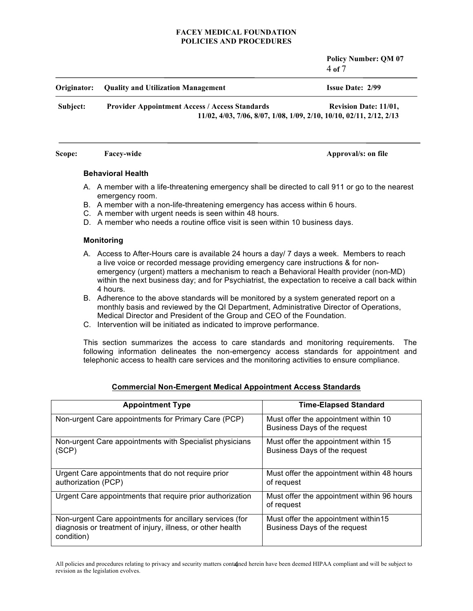**Policy Number: QM 07** 4 **of** 7

| Originator: | <b>Ouality and Utilization Management</b>             | <b>Issue Date: 2/99</b>                                                                             |
|-------------|-------------------------------------------------------|-----------------------------------------------------------------------------------------------------|
| Subject:    | <b>Provider Appointment Access / Access Standards</b> | <b>Revision Date: 11/01,</b><br>11/02, 4/03, 7/06, 8/07, 1/08, 1/09, 2/10, 10/10, 02/11, 2/12, 2/13 |
|             |                                                       |                                                                                                     |

# **Behavioral Health**

- A. A member with a life-threatening emergency shall be directed to call 911 or go to the nearest emergency room.
- B. A member with a non-life-threatening emergency has access within 6 hours.

**Scope: Facey-wide Approval/s:** on file

- C. A member with urgent needs is seen within 48 hours.
- D. A member who needs a routine office visit is seen within 10 business days.

#### **Monitoring**

- A. Access to After-Hours care is available 24 hours a day/ 7 days a week. Members to reach a live voice or recorded message providing emergency care instructions & for nonemergency (urgent) matters a mechanism to reach a Behavioral Health provider (non-MD) within the next business day; and for Psychiatrist, the expectation to receive a call back within 4 hours.
- B. Adherence to the above standards will be monitored by a system generated report on a monthly basis and reviewed by the QI Department, Administrative Director of Operations, Medical Director and President of the Group and CEO of the Foundation.
- C. Intervention will be initiated as indicated to improve performance.

This section summarizes the access to care standards and monitoring requirements. The following information delineates the non-emergency access standards for appointment and telephonic access to health care services and the monitoring activities to ensure compliance.

| <b>Appointment Type</b>                                                                                                              | <b>Time-Elapsed Standard</b>                                         |
|--------------------------------------------------------------------------------------------------------------------------------------|----------------------------------------------------------------------|
| Non-urgent Care appointments for Primary Care (PCP)                                                                                  | Must offer the appointment within 10<br>Business Days of the request |
| Non-urgent Care appointments with Specialist physicians<br>(SCP)                                                                     | Must offer the appointment within 15<br>Business Days of the request |
| Urgent Care appointments that do not require prior<br>authorization (PCP)                                                            | Must offer the appointment within 48 hours<br>of request             |
| Urgent Care appointments that require prior authorization                                                                            | Must offer the appointment within 96 hours<br>of request             |
| Non-urgent Care appointments for ancillary services (for<br>diagnosis or treatment of injury, illness, or other health<br>condition) | Must offer the appointment within 15<br>Business Days of the request |

#### **Commercial Non-Emergent Medical Appointment Access Standards**

All policies and procedures relating to privacy and security matters contained herein have been deemed HIPAA compliant and will be subject to revision as the legislation evolves.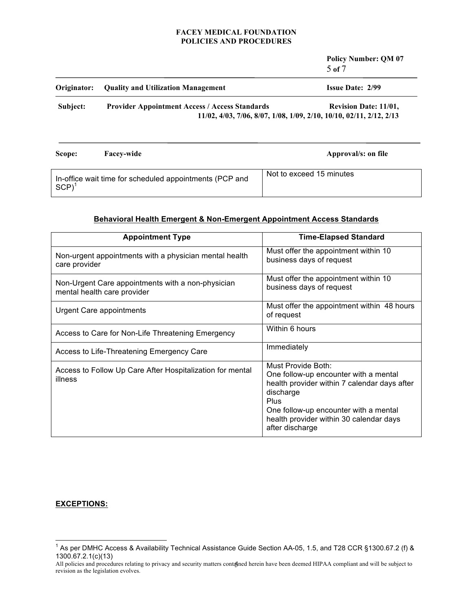**Policy Number: QM 07** 5 **of** 7 **Originator: Quality and Utilization Management Issue Date: 2/99 Subject: Provider Appointment Access / Access Standards Revision Date: 11/01, 11/02, 4/03, 7/06, 8/07, 1/08, 1/09, 2/10, 10/10, 02/11, 2/12, 2/13 Scope: Facey-wide Approval/s:** on file In-office wait time for scheduled appointments (PCP and Not to exceed 15 minutes

# **Behavioral Health Emergent & Non-Emergent Appointment Access Standards**

| <b>Appointment Type</b>                                                          | <b>Time-Elapsed Standard</b>                                                                                                                                                                                                            |
|----------------------------------------------------------------------------------|-----------------------------------------------------------------------------------------------------------------------------------------------------------------------------------------------------------------------------------------|
| Non-urgent appointments with a physician mental health<br>care provider          | Must offer the appointment within 10<br>business days of request                                                                                                                                                                        |
| Non-Urgent Care appointments with a non-physician<br>mental health care provider | Must offer the appointment within 10<br>business days of request                                                                                                                                                                        |
| Urgent Care appointments                                                         | Must offer the appointment within 48 hours<br>of request                                                                                                                                                                                |
| Access to Care for Non-Life Threatening Emergency                                | Within 6 hours                                                                                                                                                                                                                          |
| Access to Life-Threatening Emergency Care                                        | Immediately                                                                                                                                                                                                                             |
| Access to Follow Up Care After Hospitalization for mental<br>illness             | Must Provide Both:<br>One follow-up encounter with a mental<br>health provider within 7 calendar days after<br>discharge<br>Plus<br>One follow-up encounter with a mental<br>health provider within 30 calendar days<br>after discharge |

# **EXCEPTIONS:**

 $SCP$ <sup>1</sup>

 $1$  As per DMHC Access & Availability Technical Assistance Guide Section AA-05, 1.5, and T28 CCR §1300.67.2 (f) & 1300.67.2.1(c)(13)

All policies and procedures relating to privacy and security matters contanned herein have been deemed HIPAA compliant and will be subject to revision as the legislation evolves.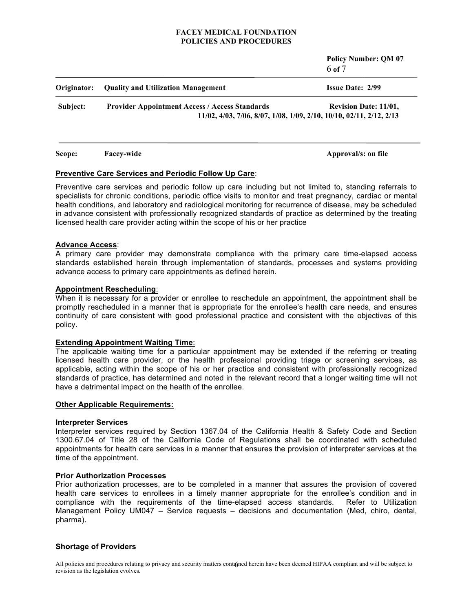**Policy Number: QM 07** 6 **of** 7

| Originator: | <b>Quality and Utilization Management</b>             | <b>Issue Date: 2/99</b>                                                                             |
|-------------|-------------------------------------------------------|-----------------------------------------------------------------------------------------------------|
| Subject:    | <b>Provider Appointment Access / Access Standards</b> | <b>Revision Date: 11/01,</b><br>11/02, 4/03, 7/06, 8/07, 1/08, 1/09, 2/10, 10/10, 02/11, 2/12, 2/13 |

**Scope: Facey-wide Approval/s:** on file

# **Preventive Care Services and Periodic Follow Up Care**:

Preventive care services and periodic follow up care including but not limited to, standing referrals to specialists for chronic conditions, periodic office visits to monitor and treat pregnancy, cardiac or mental health conditions, and laboratory and radiological monitoring for recurrence of disease, may be scheduled in advance consistent with professionally recognized standards of practice as determined by the treating licensed health care provider acting within the scope of his or her practice

#### **Advance Access**:

A primary care provider may demonstrate compliance with the primary care time-elapsed access standards established herein through implementation of standards, processes and systems providing advance access to primary care appointments as defined herein.

# **Appointment Rescheduling**:

When it is necessary for a provider or enrollee to reschedule an appointment, the appointment shall be promptly rescheduled in a manner that is appropriate for the enrollee's health care needs, and ensures continuity of care consistent with good professional practice and consistent with the objectives of this policy.

# **Extending Appointment Waiting Time**:

The applicable waiting time for a particular appointment may be extended if the referring or treating licensed health care provider, or the health professional providing triage or screening services, as applicable, acting within the scope of his or her practice and consistent with professionally recognized standards of practice, has determined and noted in the relevant record that a longer waiting time will not have a detrimental impact on the health of the enrollee.

# **Other Applicable Requirements:**

# **Interpreter Services**

Interpreter services required by Section 1367.04 of the California Health & Safety Code and Section 1300.67.04 of Title 28 of the California Code of Regulations shall be coordinated with scheduled appointments for health care services in a manner that ensures the provision of interpreter services at the time of the appointment.

# **Prior Authorization Processes**

Prior authorization processes, are to be completed in a manner that assures the provision of covered health care services to enrollees in a timely manner appropriate for the enrollee's condition and in compliance with the requirements of the time-elapsed access standards. Refer to Utilization Management Policy UM047 – Service requests – decisions and documentation (Med, chiro, dental, pharma).

# **Shortage of Providers**

All policies and procedures relating to privacy and security matters contanned herein have been deemed HIPAA compliant and will be subject to revision as the legislation evolves.